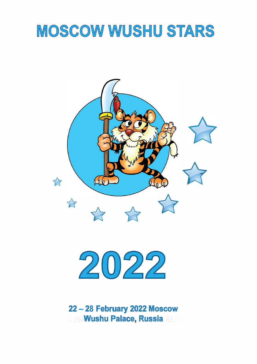# MOSCOW WUSHU STARS





**22 - 28 February 2022 Moscow Wushu Palace, Russia**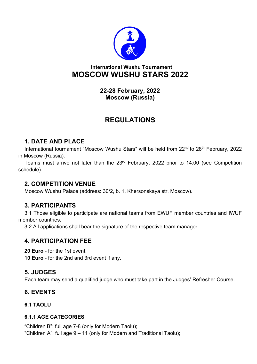

## **International Wushu Tournament MOSCOW WUSHU STARS 2022**

**22-28 February, 2022 Moscow (Russia)**

# **REGULATIONS**

## **1. DATE AND PLACE**

International tournament "Moscow Wushu Stars" will be held from 22<sup>nd</sup> to 28<sup>th</sup> February, 2022 in Moscow (Russia).

Teams must arrive not later than the 23rd February, 2022 prior to 14:00 (see Competition schedule).

## **2. COMPETITION VENUE**

Moscow Wushu Palace (address: 30/2, b. 1, Khersonskaya str, Moscow).

## **3. PARTICIPANTS**

3.1 Those eligible to participate are national teams from EWUF member countries and IWUF member countries.

3.2 All applications shall bear the signature of the respective team manager.

## **4. PARTICIPATION FEE**

**20 Euro** - for the 1st event. **10 Euro** - for the 2nd and 3rd event if any.

## **5. JUDGES**

Each team may send a qualified judge who must take part in the Judges' Refresher Course.

## **6. EVENTS**

## **6.1 TAOLU**

## **6.1.1 AGE CATEGORIES**

"Children B": full age 7-8 (only for Modern Taolu); "Children A": full age 9 – 11 (only for Modern and Traditional Taolu);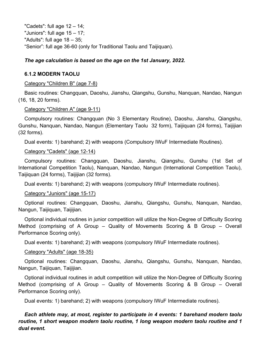"Cadets": full age  $12 - 14$ ; "Juniors": full age 15 – 17; "Adults": full age 18 – 35; "Senior": full age 36-60 (only for Traditional Taolu and Taijiquan).

## *The age calculation is based on the age on the 1st January, 2022.*

## **6.1.2 MODERN TAOLU**

#### Category "Children B" (age 7-8)

Basic routines: Changquan, Daoshu, Jianshu, Qiangshu, Gunshu, Nanquan, Nandao, Nangun (16, 18, 20 forms).

#### Category "Children A" (age 9-11)

Compulsory routines: Changquan (No 3 Elementary Routine), Daoshu, Jianshu, Qiangshu, Gunshu, Nanquan, Nandao, Nangun (Elementary Taolu 32 form), Taijiquan (24 forms), Taijijian (32 forms).

Dual events: 1) barehand; 2) with weapons (Compulsory IWuF Intermediate Routines).

## Category "Cadets" (age 12-14)

Compulsory routines: Changquan, Daoshu, Jianshu, Qiangshu, Gunshu (1st Set of International Competition Taolu), Nanquan, Nandao, Nangun (International Competition Taolu), Taijiquan (24 forms), Taijijian (32 forms).

Dual events: 1) barehand; 2) with weapons (compulsory IWuF Intermediate routines).

## Category "Juniors" (age 15-17)

Optional routines: Changquan, Daoshu, Jianshu, Qiangshu, Gunshu, Nanquan, Nandao, Nangun, Taijiquan, Taijijian.

Optional individual routines in junior competition will utilize the Non-Degree of Difficulty Scoring Method (comprising of A Group – Quality of Movements Scoring & B Group – Overall Performance Scoring only).

Dual events: 1) barehand; 2) with weapons (compulsory IWuF Intermediate routines).

## Category "Adults" (age 18-35)

Optional routines: Changquan, Daoshu, Jianshu, Qiangshu, Gunshu, Nanquan, Nandao, Nangun, Taijiquan, Taijijian.

Optional individual routines in adult competition will utilize the Non-Degree of Difficulty Scoring Method (comprising of A Group – Quality of Movements Scoring & B Group – Overall Performance Scoring only).

Dual events: 1) barehand; 2) with weapons (compulsory IWuF Intermediate routines).

## *Each athlete may, at most, register to participate in 4 events: 1 barehand modern taolu routine, 1 short weapon modern taolu routine, 1 long weapon modern taolu routine and 1 dual event.*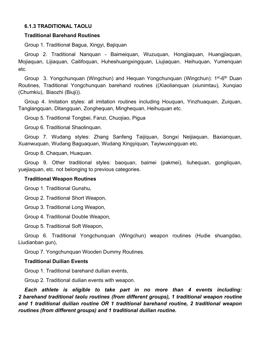#### **6.1.3 TRADITIONAL TAOLU**

#### **Traditional Barehand Routines**

Group 1. Traditional Bagua, Xingyi, Bajiquan

Group 2. Traditional Nanquan - Baimeiquan, Wuzuquan, Hongjiaquan, Huangjiaquan, Mojiaquan, Lijiaquan, Cailifoquan, Huheshuangxingquan, Liujiaquan,Heihuquan, Yumenquan etc.

Group 3. Yongchunquan (Wingchun) and Hequan Yongchunquan (Wingchun): 1st-6th Duan Routines, Traditional Yongchunquan barehand routines ((Xiaolianquan (xiunimtau), Xunqiao (Chumkiu), Biaozhi (Biuji)).

Group 4. Imitation styles: all imitation routines including Houquan, Yinzhuaquan, Zuiquan, Tanglangquan, Ditangquan, Zonghequan, Minghequan, Heihuquan etc.

Group 5. Traditional Tongbei, Fanzi, Chuojiao, Pigua

Group 6. Traditional Shaolinquan.

Group 7. Wudang styles: Zhang Sanfeng Taijiquan, Songxi Neijiaquan, Baxianquan, Xuanwuquan, Wudang Baguaquan, Wudang Xingyiquan, Tayiwuxingquan etc.

Group 8. Chaquan, Huaquan.

Group 9. Other traditional styles: baoquan, baimei (pakmei), liuhequan, gongliquan, yuejiaquan, etc. not belonging to previous categories.

#### **Traditional Weapon Routines**

Group 1. Traditional Gunshu,

Group 2. Traditional Short Weapon,

Group 3. Traditional Long Weapon,

Group 4. Traditional Double Weapon,

Group 5. Traditional Soft Weapon,

Group 6. Traditional Yongchunquan (Wingchun) weapon routines (Hudie shuangdao, Liudianban gun),

Group 7. Yongchunquan Wooden Dummy Routines.

#### **Traditional Duilian Events**

Group 1. Traditional barehand duilian events,

Group 2. Traditional duilian events with weapon.

*Each athlete is eligible to take part in no more than 4 events including: 2 barehand traditional taolu routines (from different groups), 1 traditional weapon routine and 1 traditional duilian routine OR 1 traditional barehand routine, 2 traditional weapon routines (from different groups) and 1 traditional duilian routine.*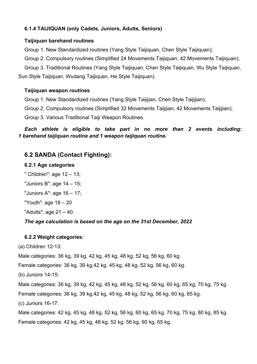## **6.1.4 TAIJIQUAN (only Cadets, Juniors, Adults, Seniors)**

#### **Taijiquan barehand routines**

Group 1. New Standardized routines (Yang Style Taijiquan, Chen Style Taijiquan);

Group 2. Compulsory routines (Simplified 24 Movements Taijiquan, 42 Movements Taijiquan);

Group 3. Traditional Routines (Yang Style Taijiquan, Chen Style Taijiquan, Wu Style Taijiquan, Sun Style Taijiquan, Wudang Taijiquan, He Style Taijiquan).

#### **Taijiquan weapon routines**

Group 1. New Standardized routines (Yang Style Taijijian, Chen Style Taijijian);

Group 2. Compulsory routines (Simplified 32 Movements Taijijian, 42 Movements Taijijian);

Group 3. Various Traditional Taiji Weapon Routines.

*Each athlete is eligible to take part in no more than 2 events including: 1 barehand taijiquan routine and 1 weapon taijiquan routine.*

## **6.2 SANDA (Contact Fighting):**

#### **6.2.1 Age categories**

" Children": age 12 – 13;

"Juniors B": age 14 – 15;

"Juniors A": age 16 – 17;

"Youth": age 18 – 20

"Adults": age 21 – 40.

## *The age calculation is based on the age on the 31st December, 2022*

## **6.2.2 Weight categories:**

(a) Children 12-13:

Male categories: 36 kg, 39 kg, 42 kg, 45 kg, 48 kg, 52 kg, 56 kg, 60 kg.

Female categories: 36 kg, 39 kg,42 kg, 45 kg, 48 kg, 52 kg, 56 kg, 60 kg.

(b) Juniors 14-15:

Male categories: 36 kg, 39 kg, 42 kg, 45 kg, 48 kg, 52 kg, 56 kg, 60 kg, 65 kg, 70 kg, 75 kg. Female categories: 36 kg, 39 kg,42 kg, 45 kg, 48 kg, 52 kg, 56 kg, 60 kg, 65 kg.

(c) Juniors 16-17:

Male categories: 42 kg, 45 kg, 48 kg, 52 kg, 56 kg, 60 kg, 65 kg, 70 kg, 75 kg, 80 kg, 85 kg. Female categories: 42 kg, 45 kg, 48 kg, 52 kg, 56 kg, 60 kg, 65 kg.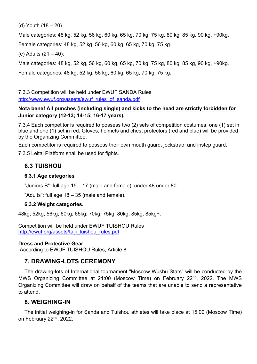(d) Youth (18 – 20)

Male categories: 48 kg, 52 kg, 56 kg, 60 kg, 65 kg, 70 kg, 75 kg, 80 kg, 85 kg, 90 kg, +90kg. Female categories: 48 kg, 52 kg, 56 kg, 60 kg, 65 kg, 70 kg, 75 kg.

(e) Adults (21 – 40):

Male categories: 48 kg, 52 kg, 56 kg, 60 kg, 65 kg, 70 kg, 75 kg, 80 kg, 85 kg, 90 kg, +90kg.

Female categories: 48 kg, 52 kg, 56 kg, 60 kg, 65 kg, 70 kg, 75 kg.

7.3.3 Competition will be held under EWUF SANDA Rules http://www.ewuf.org/assets/ewuf\_rules\_of\_sanda.pdf

## **Nota bene! All punches (including single) and kicks to the head are strictly forbidden for Junior category (12-13; 14-15; 16-17 years).**

7.3.4 Each competitor is required to possess two (2) sets of competition costumes: one (1) set in blue and one (1) set in red. Gloves, helmets and chest protectors (red and blue) will be provided by the Organizing Committee.

Each competitor is required to possess their own mouth guard, jockstrap, and instep guard.

7.3.5 Leitai Platform shall be used for fights.

## **6.3 TUISHOU**

## **6.3.1 Age categories**

"Juniors B": full age 15 – 17 (male and female), under 48 under 80

"Adults": full age 18 – 35 (male and female).

## **6.3.2 Weight categories.**

48kg; 52kg; 56kg; 60kg; 65kg; 70kg; 75kg; 80kg; 85kg; 85kg+.

Competition will be held under EWUF TUISHOU Rules http://ewuf.org/assets/taiji\_tuishou\_rules.pdf

## **Dress and Protective Gear**

According to EWUF TUISHOU Rules, Article 8.

## **7. DRAWING-LOTS CEREMONY**

The drawing-lots of International tournament "Moscow Wushu Stars" will be conducted by the MWS Organizing Committee at 21:00 (Moscow Time) on February 22<sup>nd</sup>, 2022. The MWS Organizing Committee will draw on behalf of the teams that are unable to send a representative to attend.

## **8. WEIGHING-IN**

The initial weighing-in for Sanda and Tuishou athletes will take place at 15:00 (Moscow Time) on February 22<sup>nd</sup>, 2022.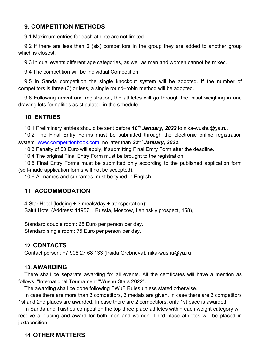## **9. COMPETITION METHODS**

9.1 Maximum entries for each athlete are not limited.

9.2 If there are less than 6 (six) competitors in the group they are added to another group which is closest.

9.3 In dual events different age categories, as well as men and women cannot be mixed.

9.4 The competition will be Individual Competition.

9.5 In Sanda competition the single knockout system will be adopted. If the number of competitors is three (3) or less, a single round–robin method will be adopted.

9.6 Following arrival and registration, the athletes will go through the initial weighing in and drawing lots formalities as stipulated in the schedule.

## **10. ENTRIES**

10.1 Preliminary entries should be sent before *10 th January, 2022* to nika-wushu@ya.ru.

10.2 The Final Entry Forms must be submitted through the electronic online registration system www.competitionbook.com no later than *22nd January, 2022*.

10.3 Penalty of 50 Euro will apply, if submitting Final Entry Form after the deadline.

10.4 The original Final Entry Form must be brought to the registration;

10.5 Final Entry Forms must be submitted only according to the published application form (self-made application forms will not be accepted);

10.6 All names and surnames must be typed in English.

## **11. ACCOMMODATION**

4 Star Hotel (lodging + 3 meals/day + transportation): Salut Hotel (Address: 119571, Russia, Moscow, Leninskiy prospect, 158),

Standard double room: 65 Euro per person per day. Standard single room: 75 Euro per person per day.

## **12. CONTACTS**

Contact person: +7 908 27 68 133 (Iraida Grebneva), nika-wushu@ya.ru

## **13. AWARDING**

There shall be separate awarding for all events. All the certificates will have a mention as follows: "International Tournament "Wushu Stars 2022".

The awarding shall be done following EWuF Rules unless stated otherwise.

In case there are more than 3 competitors, 3 medals are given. In case there are 3 competitors 1st and 2nd places are awarded. In case there are 2 competitors, only 1st pace is awarded.

In Sanda and Tuishou competition the top three place athletes within each weight category will receive a placing and award for both men and women. Third place athletes will be placed in juxtaposition.

## **14. OTHER MATTERS**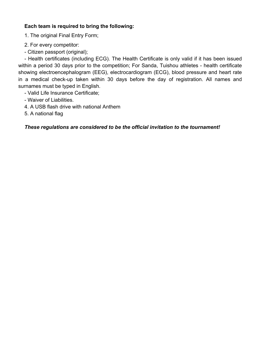## **Each team is required to bring the following:**

1. The original Final Entry Form;

- 2. For every competitor:
- Citizen passport (original);

- Health certificates (including ECG). The Health Certificate is only valid if it has been issued within a period 30 days prior to the competition; For Sanda, Tuishou athletes - health certificate showing electroencephalogram (EEG), electrocardiogram (ECG), blood pressure and heart rate in a medical check-up taken within 30 days before the day of registration. All names and surnames must be typed in English.

- Valid Life Insurance Certificate;
- Waiver of Liabilities.
- 4. A USB flash drive with national Anthem
- 5. A national flag

## *These regulations are considered to be the official invitation to the tournament!*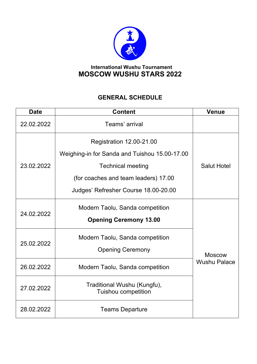

## **International Wushu Tournament MOSCOW WUSHU STARS 2022**

## **GENERAL SCHEDULE**

| <b>Date</b> | <b>Content</b>                                                                   | Venue                                |  |
|-------------|----------------------------------------------------------------------------------|--------------------------------------|--|
| 22.02.2022  | Teams' arrival                                                                   |                                      |  |
|             | <b>Registration 12.00-21.00</b><br>Weighing-in for Sanda and Tuishou 15.00-17.00 |                                      |  |
| 23.02.2022  | <b>Technical meeting</b>                                                         | <b>Salut Hotel</b>                   |  |
|             | (for coaches and team leaders) 17.00                                             |                                      |  |
|             | Judges' Refresher Course 18.00-20.00                                             |                                      |  |
| 24.02.2022  | Modern Taolu, Sanda competition                                                  |                                      |  |
|             | <b>Opening Ceremony 13.00</b>                                                    | <b>Moscow</b><br><b>Wushu Palace</b> |  |
| 25.02.2022  | Modern Taolu, Sanda competition                                                  |                                      |  |
|             | <b>Opening Ceremony</b>                                                          |                                      |  |
| 26.02.2022  | Modern Taolu, Sanda competition                                                  |                                      |  |
| 27.02.2022  | Traditional Wushu (Kungfu),<br><b>Tuishou competition</b>                        |                                      |  |
| 28.02.2022  | <b>Teams Departure</b>                                                           |                                      |  |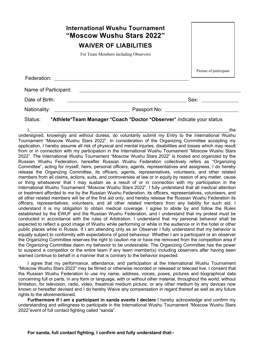|                                                                                                                                                                                                                                                                                                                                                                                                                                                                    | <b>International Wushu Tournament</b><br>"Moscow Wushu Stars 2022"           |                        |  |  |  |
|--------------------------------------------------------------------------------------------------------------------------------------------------------------------------------------------------------------------------------------------------------------------------------------------------------------------------------------------------------------------------------------------------------------------------------------------------------------------|------------------------------------------------------------------------------|------------------------|--|--|--|
|                                                                                                                                                                                                                                                                                                                                                                                                                                                                    | <b>WAIVER OF LIABILITIES</b>                                                 |                        |  |  |  |
|                                                                                                                                                                                                                                                                                                                                                                                                                                                                    | For Team Members including Observers                                         |                        |  |  |  |
|                                                                                                                                                                                                                                                                                                                                                                                                                                                                    |                                                                              | Picture of participant |  |  |  |
|                                                                                                                                                                                                                                                                                                                                                                                                                                                                    |                                                                              |                        |  |  |  |
| Date of Birth:                                                                                                                                                                                                                                                                                                                                                                                                                                                     |                                                                              |                        |  |  |  |
|                                                                                                                                                                                                                                                                                                                                                                                                                                                                    |                                                                              |                        |  |  |  |
|                                                                                                                                                                                                                                                                                                                                                                                                                                                                    | Status: *Athlete*Team Manager *Coach *Doctor *Observer* indicate your status |                        |  |  |  |
| the l, the the the the the the undersigned, knowingly and without duress, do voluntarily submit my Entry to the International Wushu<br>Tournament "Moscow Wushu Stars 2022". In consideration of the Organizing Committee accepting my<br>application, I hereby assume all risk of physical and mental injuries, disabilities and losses which may result<br>from or in connection with my participation in the International Wushu Tournament "Moscow Wushu Stars |                                                                              |                        |  |  |  |

2022". The International Wushu Tournament "Moscow Wushu Stars 2022" is hosted and organized by the Russian Wushu Federation, hereafter Russian Wushu Federation collectively refers as "Organizing Committee", acting for myself, heirs, personal officers, agents, representatives and assignees, I do hereby release the Organizing Committee, its officers, agents, representatives, volunteers, and other related members from all claims, actions, suits, and controversies at law or in equity by reason of any matter, cause or thing whatsoever that I may sustain as a result of or in connection with my participation in the International Wushu Tournament "Moscow Wushu Stars 2022". I fully understand that all medical attention or treatment afforded to me by the Russian Wushu Federation, its officers, representatives, volunteers, and all other related members will be of the first aid only, and hereby release the Russian Wushu Federation its officers, representatives, volunteers, and all other related members from any liability for such aid. I understand it is my obligation to obtain medical coverage. I agree to abide by and follow the Rules established by the EWUF and the Russian Wushu Federation, and I understand that my protest must be conducted in accordance with the rules of Arbitration. I understand that my personal behavior shall be expected to reflect a good image of Wushu while performing or while in the audience or in the hotel or other public places while in Russia. If I am attending only as an Observer I fully understand that my behavior is equally subject to conformity with expectations of good behaviour. Whether I am a participant or an observer the Organizing Committee reserves the right to caution me or have me removed from the competition area if the Organizing Committee deem my behavior to be undesirable. The Organizing Committee has the power to suspend a competitor or the entire team if any team member(s) including observers after having been warned continue to behalf in a manner that is contrary to the behavior expected.

I agree that my performance, attendance, and participation at the International Wushu Tournament "Moscow Wushu Stars 2022" may be filmed or otherwise recorded or released or telecast live. I consent that the Russian Wushu Federation to use my name, address, voices, poses, pictures and biographical data concerning full or parts, in any form or language, with or without other material, throughout the world, without limitation, for television, radio, video, theatrical medium picture, or any other medium by any devices now known or hereafter devised and I do hereby Waive any compensation in regard thereof as well as any future rights to the aforementioned.

**Furthermore if I am a participant in sanda events I declare** I hereby acknowledge and confirm my understanding and willingness to participate in the International Wushu Tournament "Moscow Wushu Stars 2022"event of full contact fighting called "sanda".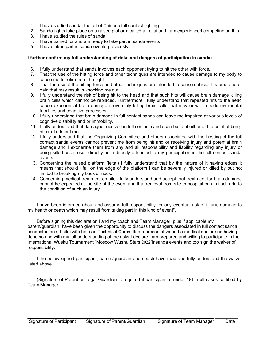- 1. I have studied sanda, the art of Chinese full contact fighting.
- 2. Sanda fights take place on a raised platform called a Leitai and I am experienced competing on this.
- 3. I have studied the rules of sanda.
- 4. I have trained for and am ready to take part in sanda events
- 5. I have taken part in sanda events previously.

#### **I further confirm my full understanding of risks and dangers of participation in sanda:-**

- 6. I fully understand that sanda involves each opponent trying to hit the other with force.
- 7. That the use of the hitting force and other techniques are intended to cause damage to my body to cause me to retire from the fight.
- 8. That the use of the hitting force and other techniques are intended to cause sufficient trauma and or pain that may result in knocking me out.
- 9. I fully understand the risk of being hit to the head and that such hits will cause brain damage killing brain cells which cannot be replaced. Furthermore I fully understand that repeated hits to the head cause exponential brain damage irreversibly killing brain cells that may or will impede my mental faculties and cognitive processes.
- 10. I fully understand that brain damage in full contact sanda can leave me impaired at various levels of cognitive disability and or immobility.
- 11. I fully understand that damaged received in full contact sanda can be fatal either at the point of being hit or at a later time.
- 12. I fully understand that the Organizing Committee and others associated with the hosting of the full contact sanda events cannot prevent me from being hit and or receiving injury and potential brain damage and I exonerate them from any and all responsibility and liability regarding any injury or being killed as a result directly or in directly attributed to my participation in the full contact sanda events.
- 13. Concerning the raised platform (leitai) I fully understand that by the nature of it having edges it means that should I fall on the edge of the platform I can be severally injured or killed by but not limited to breaking my back or neck.
- 14. Concerning medical treatment on site I fully understand and accept that treatment for brain damage cannot be expected at the site of the event and that removal from site to hospital can in itself add to the condition of such an injury.

I have been informed about and assume full responsibility for any eventual risk of injury, damage to my health or death which may result from taking part in this kind of event".

Before signing this declaration I and my coach and Team Manager, plus if applicable my parent/guardian, have been given the opportunity to discuss the dangers associated in full contact sanda conducted on a Leitai with both an Technical Committee representative and a medical doctor and having done so and with my full understanding of the risks I declare I am prepared and willing to participate in the International Wushu Tournament "Moscow Wushu Stars 2022"insanda events and too sign the waiver of responsibility.

I the below signed participant, parent/guardian and coach have read and fully understand the waiver listed above.

(Signature of Parent or Legal Guardian is required if participant is under 18) in all cases certified by Team Manager